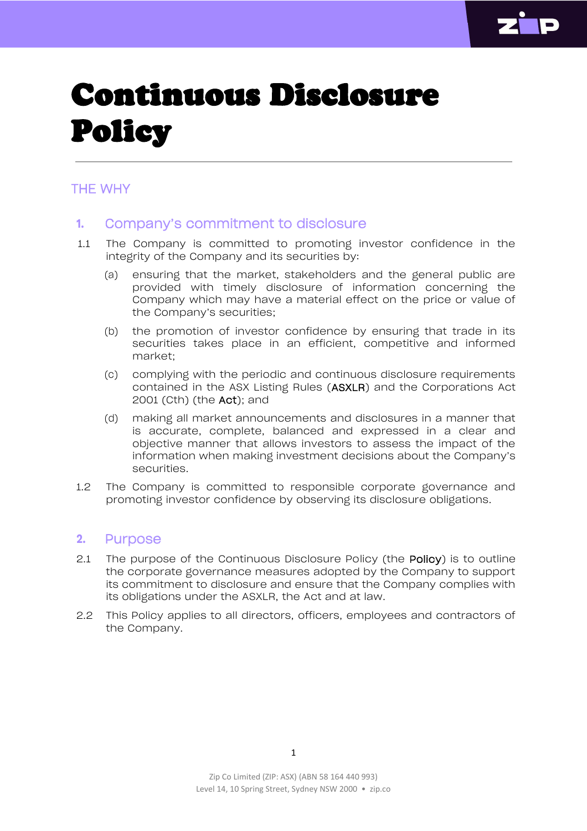

# Continuous Disclosure Policy

## THE WHY

## **1.** Company's commitment to disclosure

- 1.1 The Company is committed to promoting investor confidence in the integrity of the Company and its securities by:
	- (a) ensuring that the market, stakeholders and the general public are provided with timely disclosure of information concerning the Company which may have a material effect on the price or value of the Company's securities;
	- (b) the promotion of investor confidence by ensuring that trade in its securities takes place in an efficient, competitive and informed market;
	- (c) complying with the periodic and continuous disclosure requirements contained in the ASX Listing Rules (ASXLR) and the Corporations Act 2001 (Cth) (the Act); and
	- (d) making all market announcements and disclosures in a manner that is accurate, complete, balanced and expressed in a clear and objective manner that allows investors to assess the impact of the information when making investment decisions about the Company's securities.
- 1.2 The Company is committed to responsible corporate governance and promoting investor confidence by observing its disclosure obligations.

## **2.** Purpose

- 2.1 The purpose of the Continuous Disclosure Policy (the Policy) is to outline the corporate governance measures adopted by the Company to support its commitment to disclosure and ensure that the Company complies with its obligations under the ASXLR, the Act and at law.
- 2.2 This Policy applies to all directors, officers, employees and contractors of the Company.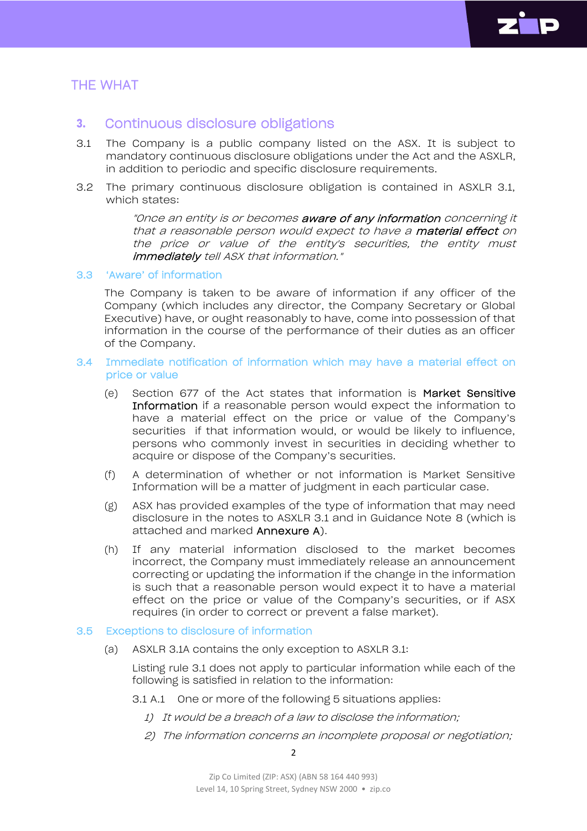

## THE WHAT

## **3.** Continuous disclosure obligations

- 3.1 The Company is a public company listed on the ASX. It is subject to mandatory continuous disclosure obligations under the Act and the ASXLR, in addition to periodic and specific disclosure requirements.
- 3.2 The primary continuous disclosure obligation is contained in ASXLR 3.1, which states:

"Once an entity is or becomes aware of any information concerning it that a reasonable person would expect to have a material effect on the price or value of the entity's securities, the entity must immediately tell ASX that information."

#### 3.3 'Aware' of information

The Company is taken to be aware of information if any officer of the Company (which includes any director, the Company Secretary or Global Executive) have, or ought reasonably to have, come into possession of that information in the course of the performance of their duties as an officer of the Company.

#### 3.4 Immediate notification of information which may have a material effect on price or value

- (e) Section 677 of the Act states that information is Market Sensitive Information if a reasonable person would expect the information to have a material effect on the price or value of the Company's securities if that information would, or would be likely to influence, persons who commonly invest in securities in deciding whether to acquire or dispose of the Company's securities.
- (f) A determination of whether or not information is Market Sensitive Information will be a matter of judgment in each particular case.
- (g) ASX has provided examples of the type of information that may need disclosure in the notes to ASXLR 3.1 and in Guidance Note 8 (which is attached and marked Annexure A).
- (h) If any material information disclosed to the market becomes incorrect, the Company must immediately release an announcement correcting or updating the information if the change in the information is such that a reasonable person would expect it to have a material effect on the price or value of the Company's securities, or if ASX requires (in order to correct or prevent a false market).

#### 3.5 Exceptions to disclosure of information

(a) ASXLR 3.1A contains the only exception to ASXLR 3.1:

Listing rule 3.1 does not apply to particular information while each of the following is satisfied in relation to the information:

- 3.1 A.1 One or more of the following 5 situations applies:
	- 1) It would be <sup>a</sup> breach of <sup>a</sup> law to disclose the information;
	- 2) The information concerns an incomplete proposal or negotiation;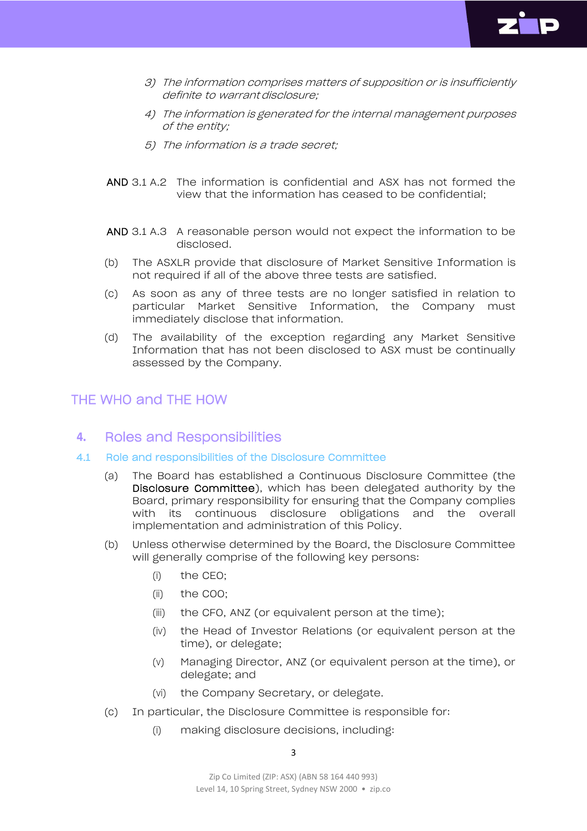

- 3) The information comprises matters of supposition or is insufficiently definite to warrant disclosure;
- 4) The information is generated for the internal management purposes of the entity;
- 5) The information is a trade secret;
- AND 3.1 A.2 The information is confidential and ASX has not formed the view that the information has ceased to be confidential;
- AND 3.1 A.3 A reasonable person would not expect the information to be disclosed.
- (b) The ASXLR provide that disclosure of Market Sensitive Information is not required if all of the above three tests are satisfied.
- (c) As soon as any of three tests are no longer satisfied in relation to particular Market Sensitive Information, the Company must immediately disclose that information.
- (d) The availability of the exception regarding any Market Sensitive Information that has not been disclosed to ASX must be continually assessed by the Company.

## THE WHO and THE HOW

## **4.** Roles and Responsibilities

- 4.1 Role and responsibilities of the Disclosure Committee
	- (a) The Board has established a Continuous Disclosure Committee (the Disclosure Committee), which has been delegated authority by the Board, primary responsibility for ensuring that the Company complies with its continuous disclosure obligations and the overall implementation and administration of this Policy.
	- (b) Unless otherwise determined by the Board, the Disclosure Committee will generally comprise of the following key persons:
		- (i) the CEO;
		- (ii) the COO;
		- (iii) the CFO, ANZ (or equivalent person at the time);
		- (iv) the Head of Investor Relations (or equivalent person at the time), or delegate;
		- (v) Managing Director, ANZ (or equivalent person at the time), or delegate; and
		- (vi) the Company Secretary, or delegate.
	- (c) In particular, the Disclosure Committee is responsible for:
		- (i) making disclosure decisions, including: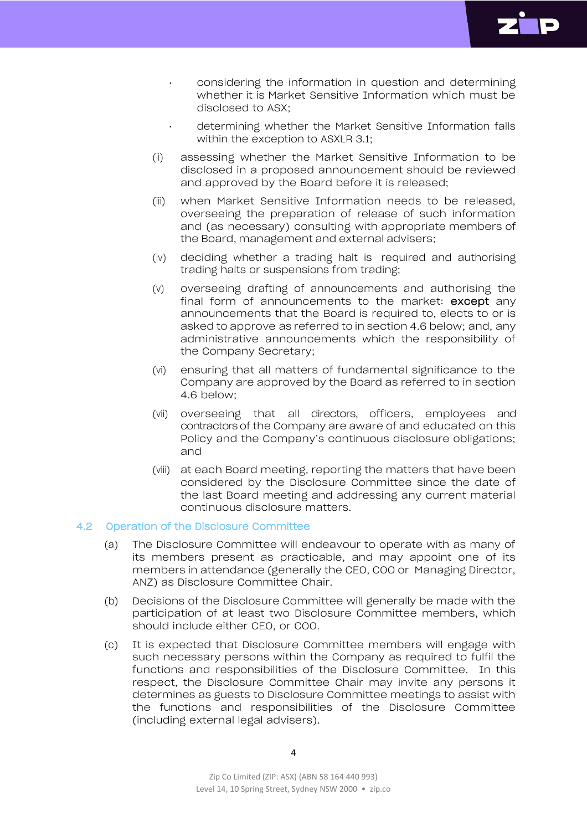

- considering the information in question and determining whether it is Market Sensitive Information which must be disclosed to ASX;
- determining whether the Market Sensitive Information falls within the exception to ASXLR 3.1;
- (ii) assessing whether the Market Sensitive Information to be disclosed in a proposed announcement should be reviewed and approved by the Board before it is released;
- (iii) when Market Sensitive Information needs to be released, overseeing the preparation of release of such information and (as necessary) consulting with appropriate members of the Board, management and external advisers;
- (iv) deciding whether a trading halt is required and authorising trading halts or suspensions from trading;
- (v) overseeing drafting of announcements and authorising the final form of announcements to the market: except any announcements that the Board is required to, elects to or is asked to approve as referred to in section 4.6 below; and, any administrative announcements which the responsibility of the Company Secretary;
- (vi) ensuring that all matters of fundamental significance to the Company are approved by the Board as referred to in section 4.6 below;
- (vii) overseeing that all directors, officers, employees and contractors of the Company are aware of and educated on this Policy and the Company's continuous disclosure obligations; and
- (viii) at each Board meeting, reporting the matters that have been considered by the Disclosure Committee since the date of the last Board meeting and addressing any current material continuous disclosure matters.

#### 4.2 Operation of the Disclosure Committee

- (a) The Disclosure Committee will endeavour to operate with as many of its members present as practicable, and may appoint one of its members in attendance (generally the CEO, COO or Managing Director, ANZ) as Disclosure Committee Chair.
- (b) Decisions of the Disclosure Committee will generally be made with the participation of at least two Disclosure Committee members, which should include either CEO, or COO.
- (c) It is expected that Disclosure Committee members will engage with such necessary persons within the Company as required to fulfil the functions and responsibilities of the Disclosure Committee. In this respect, the Disclosure Committee Chair may invite any persons it determines as guests to Disclosure Committee meetings to assist with the functions and responsibilities of the Disclosure Committee (including external legal advisers).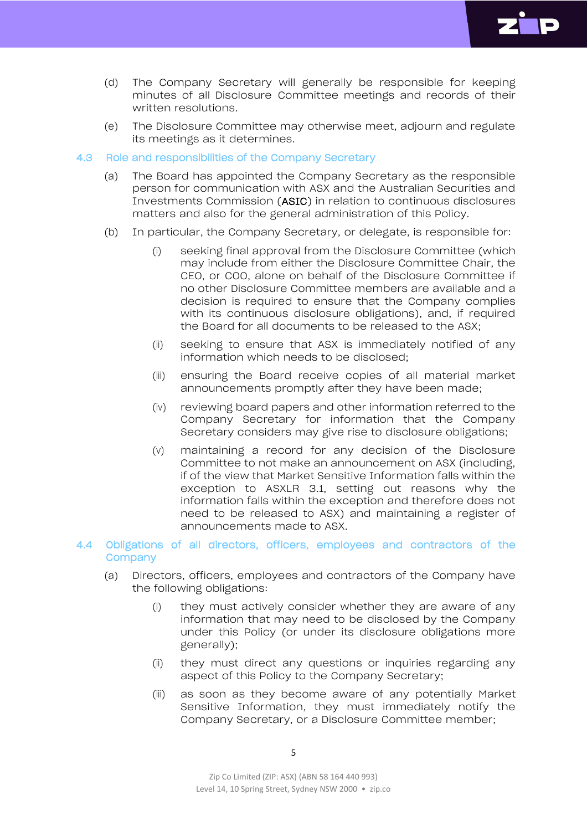

- (d) The Company Secretary will generally be responsible for keeping minutes of all Disclosure Committee meetings and records of their written resolutions.
- (e) The Disclosure Committee may otherwise meet, adjourn and regulate its meetings as it determines.

#### 4.3 Role and responsibilities of the Company Secretary

- (a) The Board has appointed the Company Secretary as the responsible person for communication with ASX and the Australian Securities and Investments Commission (ASIC) in relation to continuous disclosures matters and also for the general administration of this Policy.
- (b) In particular, the Company Secretary, or delegate, is responsible for:
	- (i) seeking final approval from the Disclosure Committee (which may include from either the Disclosure Committee Chair, the CEO, or COO, alone on behalf of the Disclosure Committee if no other Disclosure Committee members are available and a decision is required to ensure that the Company complies with its continuous disclosure obligations), and, if required the Board for all documents to be released to the ASX;
	- (ii) seeking to ensure that ASX is immediately notified of any information which needs to be disclosed;
	- (iii) ensuring the Board receive copies of all material market announcements promptly after they have been made;
	- (iv) reviewing board papers and other information referred to the Company Secretary for information that the Company Secretary considers may give rise to disclosure obligations;
	- (v) maintaining a record for any decision of the Disclosure Committee to not make an announcement on ASX (including, if of the view that Market Sensitive Information falls within the exception to ASXLR 3.1, setting out reasons why the information falls within the exception and therefore does not need to be released to ASX) and maintaining a register of announcements made to ASX.

#### 4.4 Obligations of all directors, officers, employees and contractors of the **Company**

- (a) Directors, officers, employees and contractors of the Company have the following obligations:
	- (i) they must actively consider whether they are aware of any information that may need to be disclosed by the Company under this Policy (or under its disclosure obligations more generally);
	- (ii) they must direct any questions or inquiries regarding any aspect of this Policy to the Company Secretary;
	- (iii) as soon as they become aware of any potentially Market Sensitive Information, they must immediately notify the Company Secretary, or a Disclosure Committee member;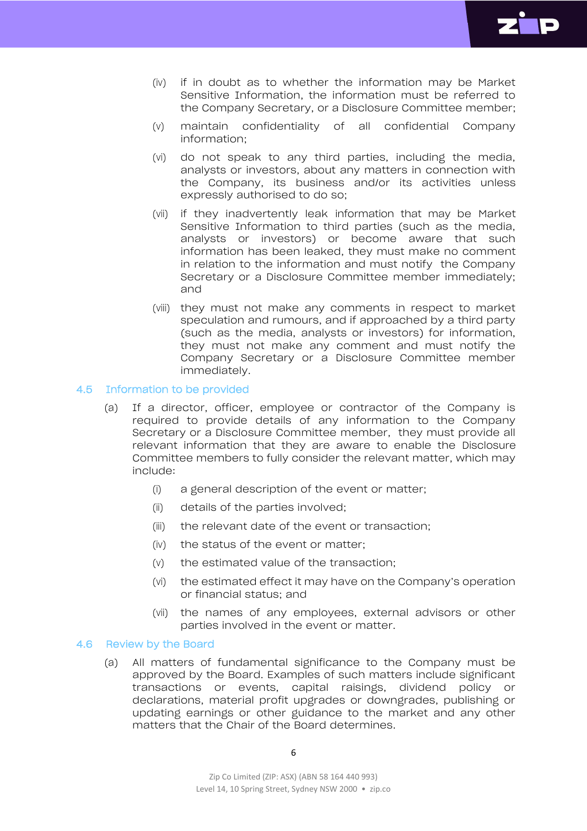

- (iv) if in doubt as to whether the information may be Market Sensitive Information, the information must be referred to the Company Secretary, or a Disclosure Committee member;
- (v) maintain confidentiality of all confidential Company information;
- (vi) do not speak to any third parties, including the media, analysts or investors, about any matters in connection with the Company, its business and/or its activities unless expressly authorised to do so;
- (vii) if they inadvertently leak information that may be Market Sensitive Information to third parties (such as the media, analysts or investors) or become aware that such information has been leaked, they must make no comment in relation to the information and must notify the Company Secretary or a Disclosure Committee member immediately; and
- (viii) they must not make any comments in respect to market speculation and rumours, and if approached by a third party (such as the media, analysts or investors) for information, they must not make any comment and must notify the Company Secretary or a Disclosure Committee member immediately.

#### 4.5 Information to be provided

- (a) If a director, officer, employee or contractor of the Company is required to provide details of any information to the Company Secretary or a Disclosure Committee member, they must provide all relevant information that they are aware to enable the Disclosure Committee members to fully consider the relevant matter, which may include:
	- (i) a general description of the event or matter;
	- (ii) details of the parties involved;
	- (iii) the relevant date of the event or transaction;
	- (iv) the status of the event or matter;
	- (v) the estimated value of the transaction;
	- (vi) the estimated effect it may have on the Company's operation or financial status; and
	- (vii) the names of any employees, external advisors or other parties involved in the event or matter.

#### 4.6 Review by the Board

(a) All matters of fundamental significance to the Company must be approved by the Board. Examples of such matters include significant transactions or events, capital raisings, dividend policy or declarations, material profit upgrades or downgrades, publishing or updating earnings or other guidance to the market and any other matters that the Chair of the Board determines.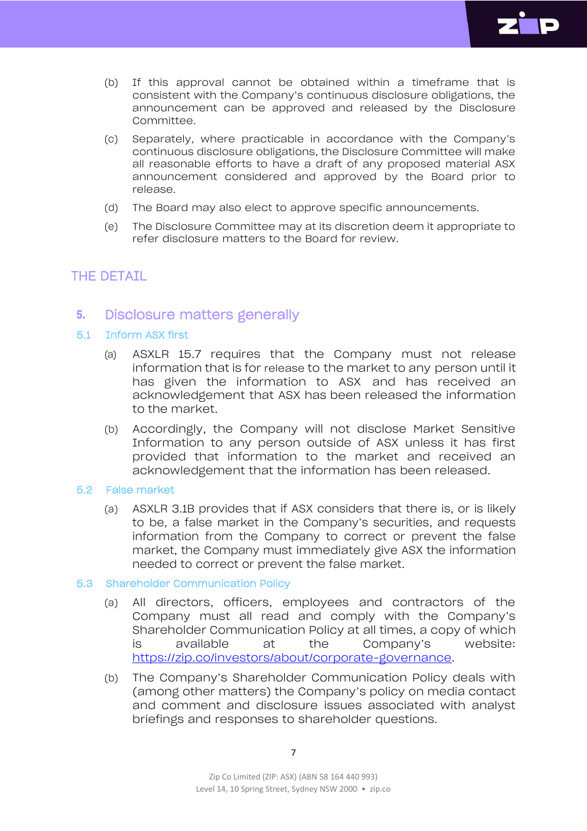

- (b) If this approval cannot be obtained within a timeframe that is consistent with the Company's continuous disclosure obligations, the announcement can be approved and released by the Disclosure Committee.
- (c) Separately, where practicable in accordance with the Company's continuous disclosure obligations, the Disclosure Committee will make all reasonable efforts to have a draft of any proposed material ASX announcement considered and approved by the Board prior to release.
- (d) The Board may also elect to approve specific announcements.
- (e) The Disclosure Committee may at its discretion deem it appropriate to refer disclosure matters to the Board for review.

## THE DETAIL

## **5.** Disclosure matters generally

#### 5.1 Inform ASX first

- (a) ASXLR 15.7 requires that the Company must not release information that is for release to the market to any person until it has given the information to ASX and has received an acknowledgement that ASX has been released the information to the market.
- (b) Accordingly, the Company will not disclose Market Sensitive Information to any person outside of ASX unless it has first provided that information to the market and received an acknowledgement that the information has been released.

#### 5.2 False market

- (a) ASXLR 3.1B provides that if ASX considers that there is, or is likely to be, a false market in the Company's securities, and requests information from the Company to correct or prevent the false market, the Company must immediately give ASX the information needed to correct or prevent the false market.
- 5.3 Shareholder Communication Policy
	- (a) All directors, officers, employees and contractors of the Company must all read and comply with the Company's Shareholder Communication Policy at all times, a copy of which is available at the Company's website: [https://zip.co/investors/about/corporate-governance.](https://zip.co/investors/about/corporate-governance)
	- (b) The Company's Shareholder Communication Policy deals with (among other matters) the Company's policy on media contact and comment and disclosure issues associated with analyst briefings and responses to shareholder questions.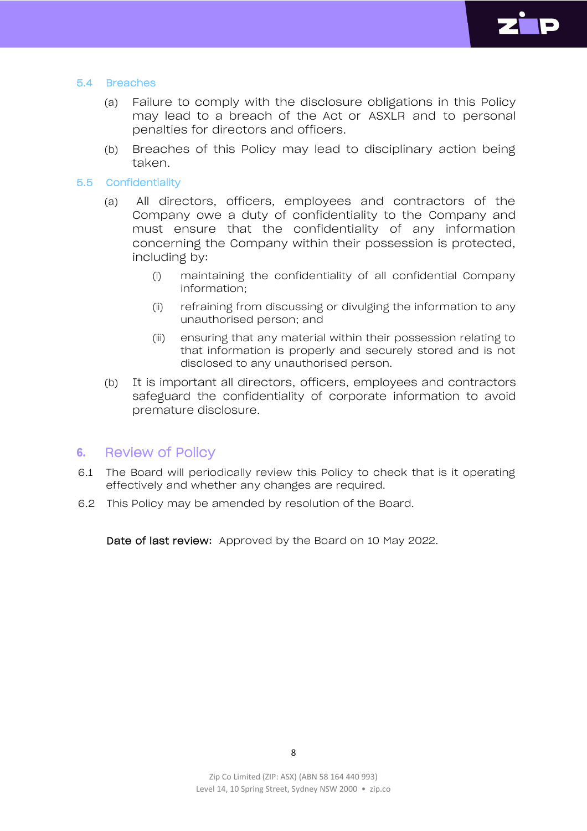

#### 5.4 Breaches

- (a) Failure to comply with the disclosure obligations in this Policy may lead to a breach of the Act or ASXLR and to personal penalties for directors and officers.
- (b) Breaches of this Policy may lead to disciplinary action being taken.

#### 5.5 Confidentiality

- (a) All directors, officers, employees and contractors of the Company owe a duty of confidentiality to the Company and must ensure that the confidentiality of any information concerning the Company within their possession is protected, including by:
	- (i) maintaining the confidentiality of all confidential Company information;
	- (ii) refraining from discussing or divulging the information to any unauthorised person; and
	- (iii) ensuring that any material within their possession relating to that information is properly and securely stored and is not disclosed to any unauthorised person.
- (b) It is important all directors, officers, employees and contractors safeguard the confidentiality of corporate information to avoid premature disclosure.

## **6.** Review of Policy

- 6.1 The Board will periodically review this Policy to check that is it operating effectively and whether any changes are required.
- 6.2 This Policy may be amended by resolution of the Board.

Date of last review: Approved by the Board on 10 May 2022.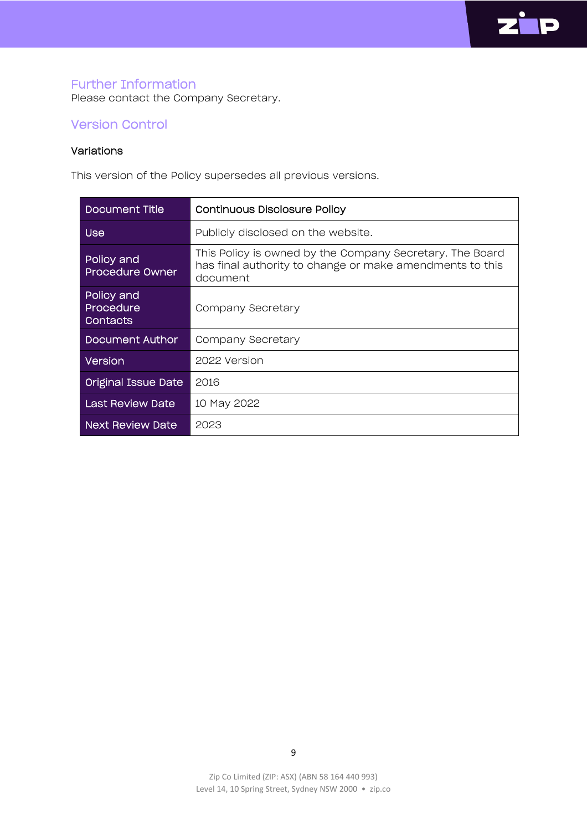

## Further Information

Please contact the Company Secretary.

## Version Control

#### Variations

This version of the Policy supersedes all previous versions.

| Document Title                      | <b>Continuous Disclosure Policy</b>                                                                                              |
|-------------------------------------|----------------------------------------------------------------------------------------------------------------------------------|
| <b>Use</b>                          | Publicly disclosed on the website.                                                                                               |
| Policy and<br>Procedure Owner       | This Policy is owned by the Company Secretary. The Board<br>has final authority to change or make amendments to this<br>document |
| Policy and<br>Procedure<br>Contacts | Company Secretary                                                                                                                |
| Document Author                     | Company Secretary                                                                                                                |
| <b>Version</b>                      | 2022 Version                                                                                                                     |
| Original Issue Date                 | 2016                                                                                                                             |
| Last Review Date                    | 10 May 2022                                                                                                                      |
| <b>Next Review Date</b>             | 2023                                                                                                                             |